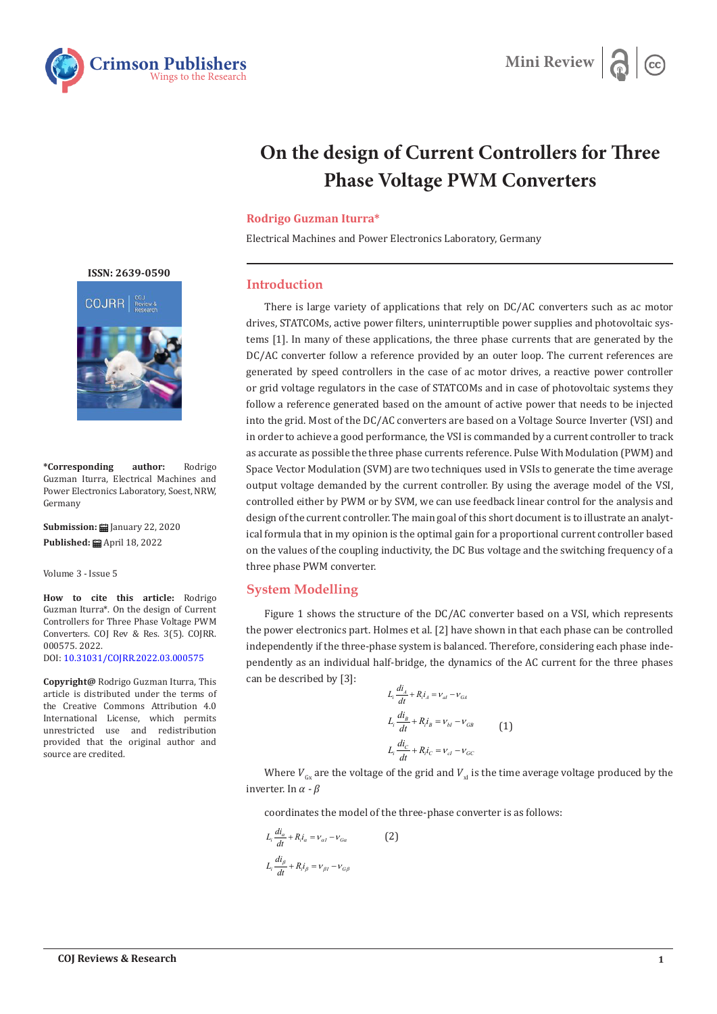



# **On the design of Current Controllers for Three Phase Voltage PWM Converters**

#### **Rodrigo Guzman Iturra\***

Electrical Machines and Power Electronics Laboratory, Germany

#### **Introduction**

There is large variety of applications that rely on DC/AC converters such as ac motor drives, STATCOMs, active power filters, uninterruptible power supplies and photovoltaic systems [1]. In many of these applications, the three phase currents that are generated by the DC/AC converter follow a reference provided by an outer loop. The current references are generated by speed controllers in the case of ac motor drives, a reactive power controller or grid voltage regulators in the case of STATCOMs and in case of photovoltaic systems they follow a reference generated based on the amount of active power that needs to be injected into the grid. Most of the DC/AC converters are based on a Voltage Source Inverter (VSI) and in order to achieve a good performance, the VSI is commanded by a current controller to track as accurate as possible the three phase currents reference. Pulse With Modulation (PWM) and Space Vector Modulation (SVM) are two techniques used in VSIs to generate the time average output voltage demanded by the current controller. By using the average model of the VSI, controlled either by PWM or by SVM, we can use feedback linear control for the analysis and design of the current controller. The main goal of this short document is to illustrate an analytical formula that in my opinion is the optimal gain for a proportional current controller based on the values of the coupling inductivity, the DC Bus voltage and the switching frequency of a three phase PWM converter.

## **System Modelling**

Figure 1 shows the structure of the DC/AC converter based on a VSI, which represents the power electronics part. Holmes et al. [2] have shown in that each phase can be controlled independently if the three-phase system is balanced. Therefore, considering each phase independently as an individual half-bridge, the dynamics of the AC current for the three phases can be described by [3]:

$$
L_i \frac{di_A}{dt} + R_i i_A = v_{al} - v_{GA}
$$
  

$$
L_i \frac{di_B}{dt} + R_i i_B = v_{bl} - v_{GB}
$$
  

$$
L_i \frac{di_C}{dt} + R_i i_C = v_{cl} - v_{GC}
$$
 (1)

Where  $V_{\text{c}}$  are the voltage of the grid and  $V_{\text{u}}$  is the time average voltage produced by the inverter. In  $\alpha$  -  $\beta$ 

coordinates the model of the three-phase converter is as follows:

$$
L_i \frac{di_a}{dt} + R_i i_a = v_{at} - v_{Ga}
$$
\n
$$
L_i \frac{di_\beta}{dt} + R_i i_\beta = v_{\beta l} - v_{G\beta}
$$
\n
$$
(2)
$$

**[ISSN: 2639-0590](https://www.crimsonpublishers.com/cojrr/)**



**\*Corresponding author:** Rodrigo Guzman Iturra, Electrical Machines and Power Electronics Laboratory, Soest, NRW, Germany

**Submission: 自** January 22, 2020 Published: **曲** April 18, 2022

Volume 3 - Issue 5

**How to cite this article:** Rodrigo Guzman Iturra\*. On the design of Current Controllers for Three Phase Voltage PWM Converters. COJ Rev & Res. 3(5). COJRR. 000575. 2022. DOI: [10.31031/COJRR.2022.03.000575](http://dx.doi.org/10.31031/COJRR.2022.03.000575)

**Copyright@** Rodrigo Guzman Iturra, This article is distributed under the terms of the Creative Commons Attribution 4.0 International License, which permits unrestricted use and redistribution provided that the original author and source are credited.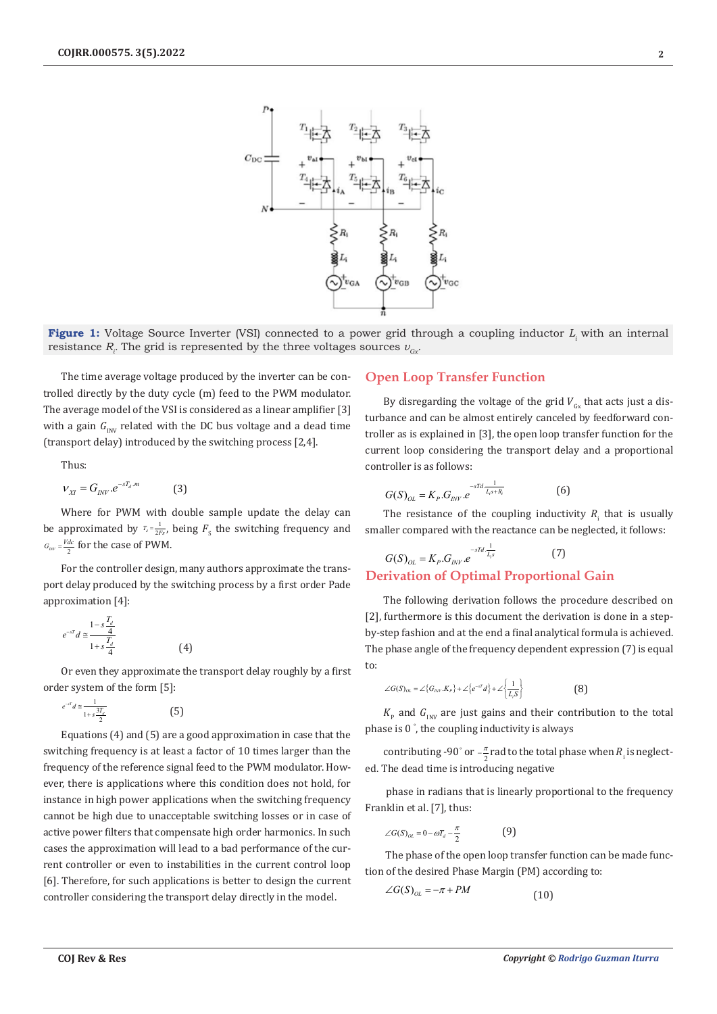

**Figure 1:** Voltage Source Inverter (VSI) connected to a power grid through a coupling inductor L<sub>i</sub> with an internal resistance  $R$ <sub>*i*</sub>. The grid is represented by the three voltages sources  $v_{\scriptscriptstyle{G\!x\!}}$ 

The time average voltage produced by the inverter can be controlled directly by the duty cycle (m) feed to the PWM modulator. The average model of the VSI is considered as a linear amplifier [3] with a gain  $G_{\text{INV}}$  related with the DC bus voltage and a dead time (transport delay) introduced by the switching process [2,4].

Thus:

$$
v_{\scriptscriptstyle XI} = G_{\scriptscriptstyle INV}.e^{-sT_d.m} \qquad \qquad (3)
$$

Where for PWM with double sample update the delay can be approximated by  $T_{d} = \frac{1}{2Fs}$ , being  $F_{s}$  the switching frequency and  $G_{_{INV}} = \frac{Vdc}{2}$  for the case of PWM.

For the controller design, many authors approximate the transport delay produced by the switching process by a first order Pade approximation [4]:

$$
e^{-sT}d \cong \frac{1-s\frac{T_d}{4}}{1+s\frac{T_d}{4}}
$$
 (4)

Or even they approximate the transport delay roughly by a first order system of the form [5]:

$$
e^{-sT}d \cong \frac{1}{1+s\frac{3T_d}{2}}\tag{5}
$$

Equations (4) and (5) are a good approximation in case that the switching frequency is at least a factor of 10 times larger than the frequency of the reference signal feed to the PWM modulator. However, there is applications where this condition does not hold, for instance in high power applications when the switching frequency cannot be high due to unacceptable switching losses or in case of active power filters that compensate high order harmonics. In such cases the approximation will lead to a bad performance of the current controller or even to instabilities in the current control loop [6]. Therefore, for such applications is better to design the current controller considering the transport delay directly in the model.

## **Open Loop Transfer Function**

By disregarding the voltage of the grid  $V_{c<sub>x</sub>}$  that acts just a disturbance and can be almost entirely canceled by feedforward controller as is explained in [3], the open loop transfer function for the current loop considering the transport delay and a proportional controller is as follows:

$$
G(S)_{OL} = K_p.G_{INV}e^{-sTd \frac{1}{L_s s + R_i}}
$$
(6)

The resistance of the coupling inductivity  $R_i$  that is usually smaller compared with the reactance can be neglected, it follows:

$$
G(S)_{OL} = K_p.G_{INV}e^{-sTd\frac{1}{L_s}} \tag{7}
$$

## **Derivation of Optimal Proportional Gain**

The following derivation follows the procedure described on [2], furthermore is this document the derivation is done in a stepby-step fashion and at the end a final analytical formula is achieved. The phase angle of the frequency dependent expression (7) is equal to:

$$
\angle G(S)_{OL} = \angle \{G_{INV}.K_{P}\} + \angle \{e^{-sT}d\} + \angle \left\{\frac{1}{L_{i}S}\right\}
$$
(8)

 $K_{\rm p}$  and  $G_{\rm INV}$  are just gains and their contribution to the total phase is 0 ° , the coupling inductivity is always

contributing -90° or  $-\frac{\pi}{2}$  rad to the total phase when  $R_i$  is neglected. The dead time is introducing negative

 phase in radians that is linearly proportional to the frequency Franklin et al. [7], thus:

$$
\angle G(S)_{OL} = 0 - \omega T_d - \frac{\pi}{2}
$$
 (9)

 The phase of the open loop transfer function can be made function of the desired Phase Margin (PM) according to:<br> $\angle G(S)_{\infty} = -\pi + PM$ 

$$
\angle G(S)_{OL} = -\pi + PM \tag{10}
$$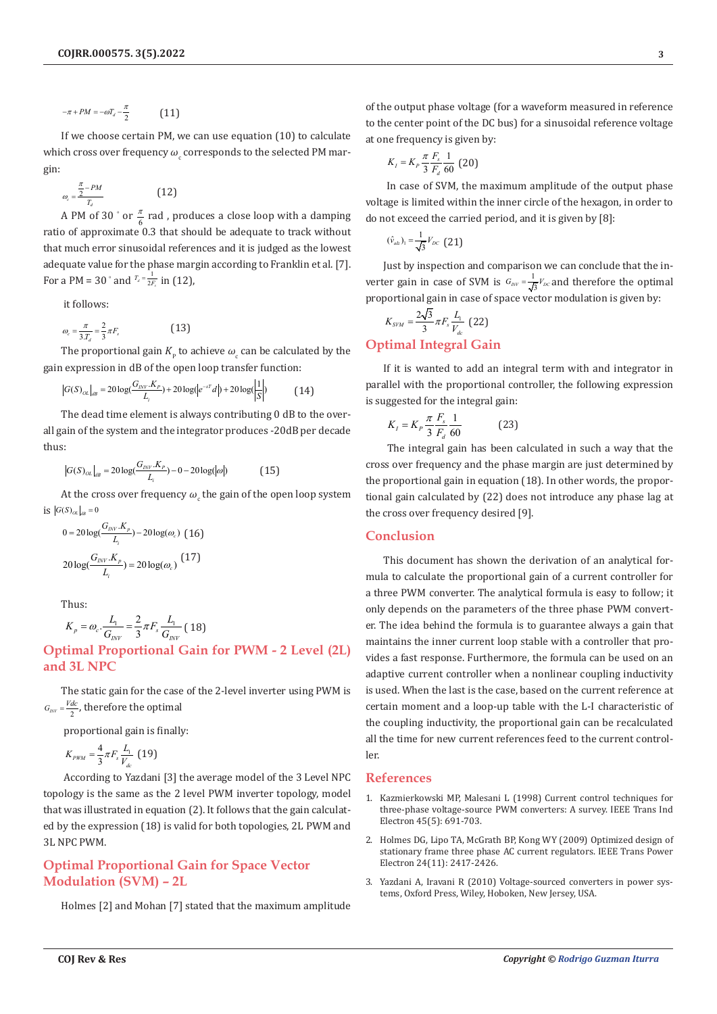$$
-\pi + PM = -\omega T_d - \frac{\pi}{2} \tag{11}
$$

If we choose certain PM, we can use equation (10) to calculate which cross over frequency  $\omega_{\rm_c}$  corresponds to the selected PM margin:

$$
\omega_c = \frac{\frac{\pi}{2} - PM}{T_d} \tag{12}
$$

A PM of 30  $^{\circ}$  or  $\frac{\pi}{6}$  rad , produces a close loop with a damping ratio of approximate 0.3 that should be adequate to track without that much error sinusoidal references and it is judged as the lowest adequate value for the phase margin according to Franklin et al. [7]. For a PM = 30  $^{\circ}$  and  $^{T_d} = \frac{1}{2F_s}$  in (12),

it follows:

$$
\omega_c = \frac{\pi}{3.T_d} = \frac{2}{3}\pi F_s \tag{13}
$$

The proportional gain  $K_{\rm p}$  to achieve  $\omega_{\rm c}$  can be calculated by the gain expression in dB of the open loop transfer function:

$$
G(S)_{OL}|_{dB} = 20 \log(\frac{G_{\text{INV}} \cdot K_{\text{P}}}{L_i}) + 20 \log(|e^{-sT}d|) + 20 \log(\frac{1}{|S|})
$$
(14)

The dead time element is always contributing 0 dB to the overall gain of the system and the integrator produces -20dB per decade thus:

$$
|G(S)_{OL}|_{dB} = 20 \log(\frac{G_{INV} \cdot K_P}{L_i}) - 0 - 20 \log(|\omega|)
$$
 (15)

At the cross over frequency  $\omega_{\rm c}$  the gain of the open loop system  $\log |G(S)_{OL}|_{dB} = 0$ 

$$
0 = 20 \log(\frac{G_{_{JNV}}.K_p}{L_i}) - 20 \log(\omega_c) \quad (16)
$$

$$
20 \log(\frac{G_{_{JNV}}.K_p}{L_i}) = 20 \log(\omega_c) \quad (17)
$$

Thus:

$$
K_p = \omega_c \cdot \frac{L_1}{G_{INV}} = \frac{2}{3} \pi F_s \frac{L_1}{G_{INV}} (18)
$$

**Optimal Proportional Gain for PWM - 2 Level (2L) and 3L NPC**

The static gain for the case of the 2-level inverter using PWM is  $G_{_{INV}} = \frac{Vdc}{2}$ , therefore the optimal

proportional gain is finally:

$$
K_{PWM} = \frac{4}{3} \pi F_s \frac{L_1}{V_{dc}} \text{ (19)}
$$

 According to Yazdani [3] the average model of the 3 Level NPC topology is the same as the 2 level PWM inverter topology, model that was illustrated in equation (2). It follows that the gain calculated by the expression (18) is valid for both topologies, 2L PWM and 3L NPC PWM.

## **Optimal Proportional Gain for Space Vector Modulation (SVM) – 2L**

Holmes [2] and Mohan [7] stated that the maximum amplitude

of the output phase voltage (for a waveform measured in reference to the center point of the DC bus) for a sinusoidal reference voltage at one frequency is given by:

$$
K_{I} = K_{P} \frac{\pi}{3} \frac{F_{s}}{F_{d}} \frac{1}{60} \text{ (20)}
$$

 In case of SVM, the maximum amplitude of the output phase voltage is limited within the inner circle of the hexagon, in order to do not exceed the carried period, and it is given by [8]:

$$
(\hat{v}_{az})_1 = \frac{1}{\sqrt{3}} V_{DC} \quad (21)
$$

Just by inspection and comparison we can conclude that the inverter gain in case of SVM is  $G_{\text{inv}} = \frac{1}{\sqrt{3}}V_{\text{DC}}$  and therefore the optimal proportional gain in case of space vector modulation is given by:

$$
K_{\text{SVM}} = \frac{2\sqrt{3}}{3} \pi F_s \frac{L_1}{V_{dc}} \text{ (22)}
$$

## **Optimal Integral Gain**

If it is wanted to add an integral term with and integrator in parallel with the proportional controller, the following expression is suggested for the integral gain:

$$
K_{I} = K_{P} \frac{\pi}{3} \frac{F_{s}}{F_{d}} \frac{1}{60}
$$
 (23)

 The integral gain has been calculated in such a way that the cross over frequency and the phase margin are just determined by the proportional gain in equation (18). In other words, the proportional gain calculated by (22) does not introduce any phase lag at the cross over frequency desired [9].

## **Conclusion**

This document has shown the derivation of an analytical formula to calculate the proportional gain of a current controller for a three PWM converter. The analytical formula is easy to follow; it only depends on the parameters of the three phase PWM converter. The idea behind the formula is to guarantee always a gain that maintains the inner current loop stable with a controller that provides a fast response. Furthermore, the formula can be used on an adaptive current controller when a nonlinear coupling inductivity is used. When the last is the case, based on the current reference at certain moment and a loop-up table with the L-I characteristic of the coupling inductivity, the proportional gain can be recalculated all the time for new current references feed to the current controller.

## **References**

- 1. [Kazmierkowski MP, Malesani L \(1998\) Current control techniques for](https://ieeexplore.ieee.org/document/720325?arnumber=720325) [three-phase voltage-source PWM converters: A survey. IEEE Trans Ind](https://ieeexplore.ieee.org/document/720325?arnumber=720325) [Electron 45\(5\): 691-703.](https://ieeexplore.ieee.org/document/720325?arnumber=720325)
- 2. [Holmes DG, Lipo TA, McGrath BP, Kong WY \(2009\) Optimized design of](https://ieeexplore.ieee.org/document/5338054) [stationary frame three phase AC current regulators. IEEE Trans Power](https://ieeexplore.ieee.org/document/5338054) [Electron 24\(11\): 2417-2426.](https://ieeexplore.ieee.org/document/5338054)
- 3. Yazdani A, Iravani R (2010) Voltage-sourced converters in power systems, Oxford Press, Wiley, Hoboken, New Jersey, USA.